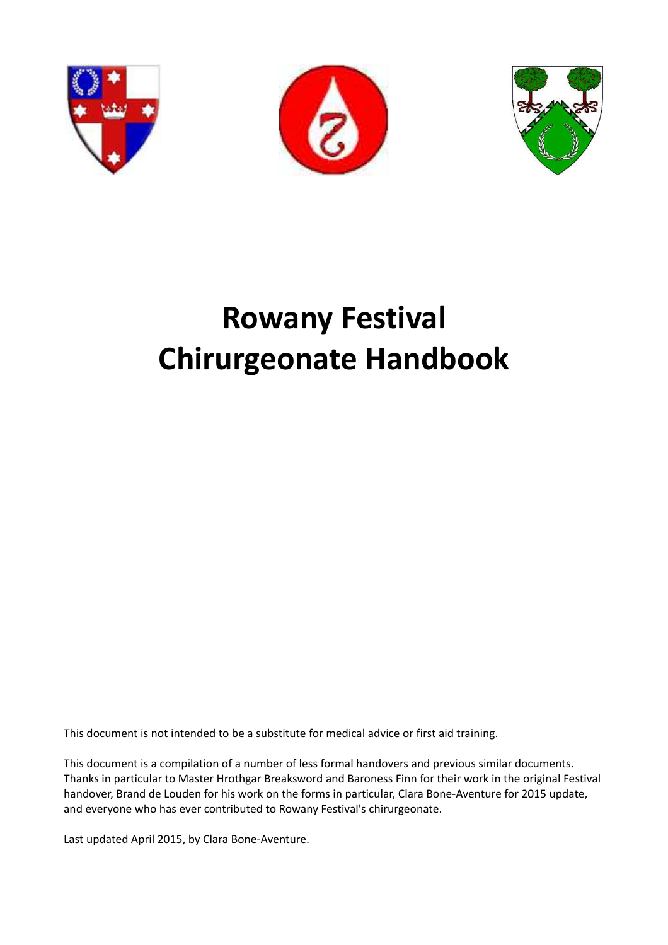





# **Rowany Festival Chirurgeonate Handbook**

This document is not intended to be a substitute for medical advice or first aid training.

This document is a compilation of a number of less formal handovers and previous similar documents. Thanks in particular to Master Hrothgar Breaksword and Baroness Finn for their work in the original Festival handover, Brand de Louden for his work on the forms in particular, Clara Bone-Aventure for 2015 update, and everyone who has ever contributed to Rowany Festival's chirurgeonate.

Last updated April 2015, by Clara Bone-Aventure.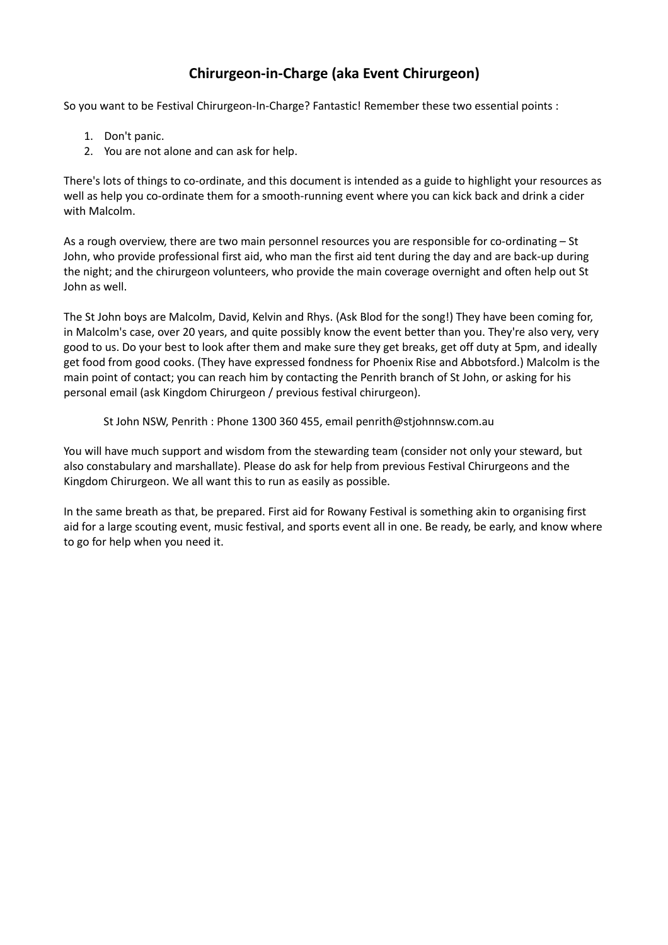## **Chirurgeon-in-Charge (aka Event Chirurgeon)**

So you want to be Festival Chirurgeon-In-Charge? Fantastic! Remember these two essential points :

- 1. Don't panic.
- 2. You are not alone and can ask for help.

There's lots of things to co-ordinate, and this document is intended as a guide to highlight your resources as well as help you co-ordinate them for a smooth-running event where you can kick back and drink a cider with Malcolm.

As a rough overview, there are two main personnel resources you are responsible for co-ordinating – St John, who provide professional first aid, who man the first aid tent during the day and are back-up during the night; and the chirurgeon volunteers, who provide the main coverage overnight and often help out St John as well.

The St John boys are Malcolm, David, Kelvin and Rhys. (Ask Blod for the song!) They have been coming for, in Malcolm's case, over 20 years, and quite possibly know the event better than you. They're also very, very good to us. Do your best to look after them and make sure they get breaks, get off duty at 5pm, and ideally get food from good cooks. (They have expressed fondness for Phoenix Rise and Abbotsford.) Malcolm is the main point of contact; you can reach him by contacting the Penrith branch of St John, or asking for his personal email (ask Kingdom Chirurgeon / previous festival chirurgeon).

St John NSW, Penrith : Phone 1300 360 455, email penrith@stjohnnsw.com.au

You will have much support and wisdom from the stewarding team (consider not only your steward, but also constabulary and marshallate). Please do ask for help from previous Festival Chirurgeons and the Kingdom Chirurgeon. We all want this to run as easily as possible.

In the same breath as that, be prepared. First aid for Rowany Festival is something akin to organising first aid for a large scouting event, music festival, and sports event all in one. Be ready, be early, and know where to go for help when you need it.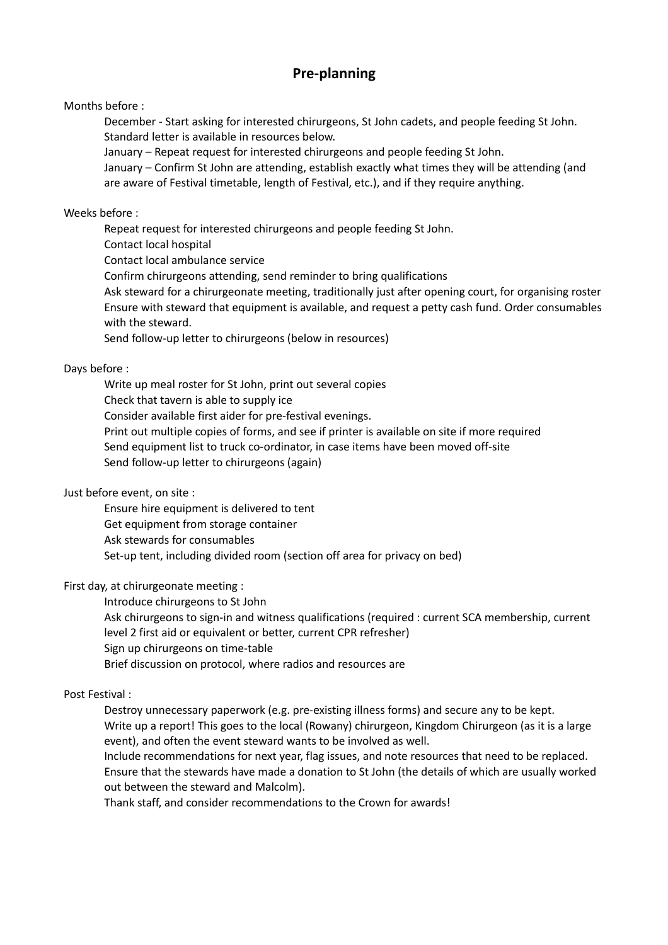## **Pre-planning**

Months before :

December - Start asking for interested chirurgeons, St John cadets, and people feeding St John. Standard letter is available in resources below.

January – Repeat request for interested chirurgeons and people feeding St John.

January – Confirm St John are attending, establish exactly what times they will be attending (and are aware of Festival timetable, length of Festival, etc.), and if they require anything.

#### Weeks before :

Repeat request for interested chirurgeons and people feeding St John.

Contact local hospital

Contact local ambulance service

Confirm chirurgeons attending, send reminder to bring qualifications

Ask steward for a chirurgeonate meeting, traditionally just after opening court, for organising roster Ensure with steward that equipment is available, and request a petty cash fund. Order consumables with the steward.

Send follow-up letter to chirurgeons (below in resources)

#### Days before :

Write up meal roster for St John, print out several copies Check that tavern is able to supply ice Consider available first aider for pre-festival evenings. Print out multiple copies of forms, and see if printer is available on site if more required Send equipment list to truck co-ordinator, in case items have been moved off-site Send follow-up letter to chirurgeons (again)

### Just before event, on site :

Ensure hire equipment is delivered to tent Get equipment from storage container Ask stewards for consumables Set-up tent, including divided room (section off area for privacy on bed)

### First day, at chirurgeonate meeting :

Introduce chirurgeons to St John

Ask chirurgeons to sign-in and witness qualifications (required : current SCA membership, current level 2 first aid or equivalent or better, current CPR refresher)

Sign up chirurgeons on time-table

Brief discussion on protocol, where radios and resources are

#### Post Festival :

Destroy unnecessary paperwork (e.g. pre-existing illness forms) and secure any to be kept. Write up a report! This goes to the local (Rowany) chirurgeon, Kingdom Chirurgeon (as it is a large

event), and often the event steward wants to be involved as well. Include recommendations for next year, flag issues, and note resources that need to be replaced. Ensure that the stewards have made a donation to St John (the details of which are usually worked out between the steward and Malcolm).

Thank staff, and consider recommendations to the Crown for awards!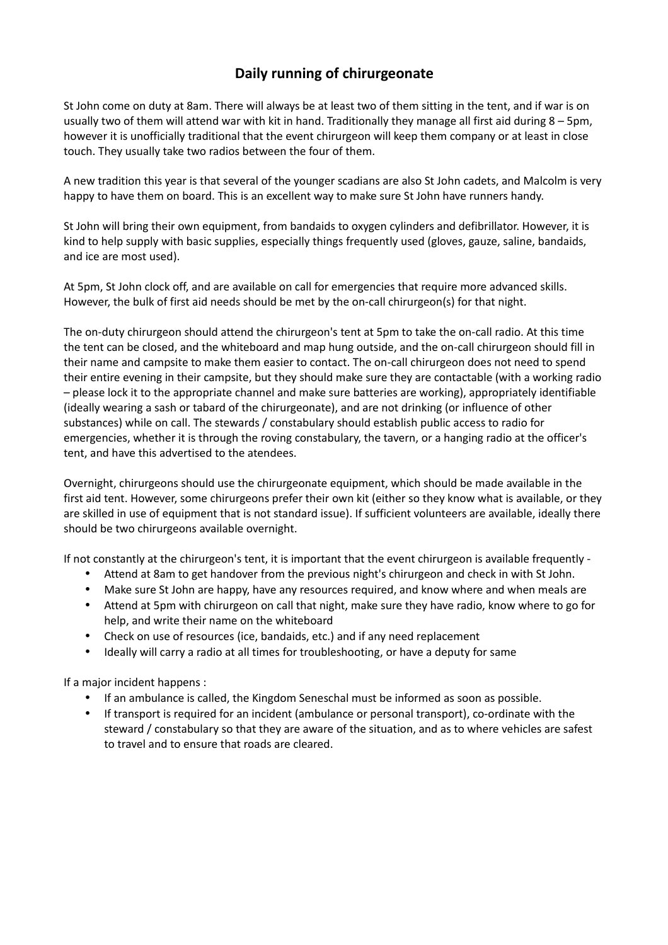## **Daily running of chirurgeonate**

St John come on duty at 8am. There will always be at least two of them sitting in the tent, and if war is on usually two of them will attend war with kit in hand. Traditionally they manage all first aid during 8 – 5pm, however it is unofficially traditional that the event chirurgeon will keep them company or at least in close touch. They usually take two radios between the four of them.

A new tradition this year is that several of the younger scadians are also St John cadets, and Malcolm is very happy to have them on board. This is an excellent way to make sure St John have runners handy.

St John will bring their own equipment, from bandaids to oxygen cylinders and defibrillator. However, it is kind to help supply with basic supplies, especially things frequently used (gloves, gauze, saline, bandaids, and ice are most used).

At 5pm, St John clock off, and are available on call for emergencies that require more advanced skills. However, the bulk of first aid needs should be met by the on-call chirurgeon(s) for that night.

The on-duty chirurgeon should attend the chirurgeon's tent at 5pm to take the on-call radio. At this time the tent can be closed, and the whiteboard and map hung outside, and the on-call chirurgeon should fill in their name and campsite to make them easier to contact. The on-call chirurgeon does not need to spend their entire evening in their campsite, but they should make sure they are contactable (with a working radio – please lock it to the appropriate channel and make sure batteries are working), appropriately identifiable (ideally wearing a sash or tabard of the chirurgeonate), and are not drinking (or influence of other substances) while on call. The stewards / constabulary should establish public access to radio for emergencies, whether it is through the roving constabulary, the tavern, or a hanging radio at the officer's tent, and have this advertised to the atendees.

Overnight, chirurgeons should use the chirurgeonate equipment, which should be made available in the first aid tent. However, some chirurgeons prefer their own kit (either so they know what is available, or they are skilled in use of equipment that is not standard issue). If sufficient volunteers are available, ideally there should be two chirurgeons available overnight.

If not constantly at the chirurgeon's tent, it is important that the event chirurgeon is available frequently -

- Attend at 8am to get handover from the previous night's chirurgeon and check in with St John.
- Make sure St John are happy, have any resources required, and know where and when meals are
- Attend at 5pm with chirurgeon on call that night, make sure they have radio, know where to go for help, and write their name on the whiteboard
- Check on use of resources (ice, bandaids, etc.) and if any need replacement
- Ideally will carry a radio at all times for troubleshooting, or have a deputy for same

If a major incident happens :

- If an ambulance is called, the Kingdom Seneschal must be informed as soon as possible.
- If transport is required for an incident (ambulance or personal transport), co-ordinate with the steward / constabulary so that they are aware of the situation, and as to where vehicles are safest to travel and to ensure that roads are cleared.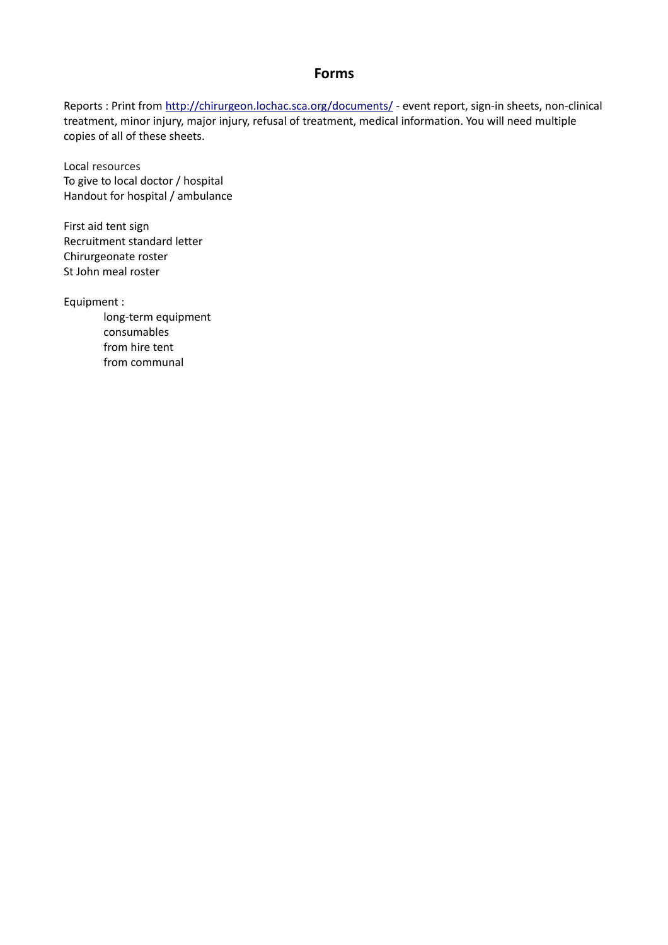### **Forms**

Reports : Print from<http://chirurgeon.lochac.sca.org/documents/>- event report, sign-in sheets, non-clinical treatment, minor injury, major injury, refusal of treatment, medical information. You will need multiple copies of all of these sheets.

Local resources To give to local doctor / hospital Handout for hospital / ambulance

First aid tent sign Recruitment standard letter Chirurgeonate roster St John meal roster

Equipment :

long-term equipment consumables from hire tent from communal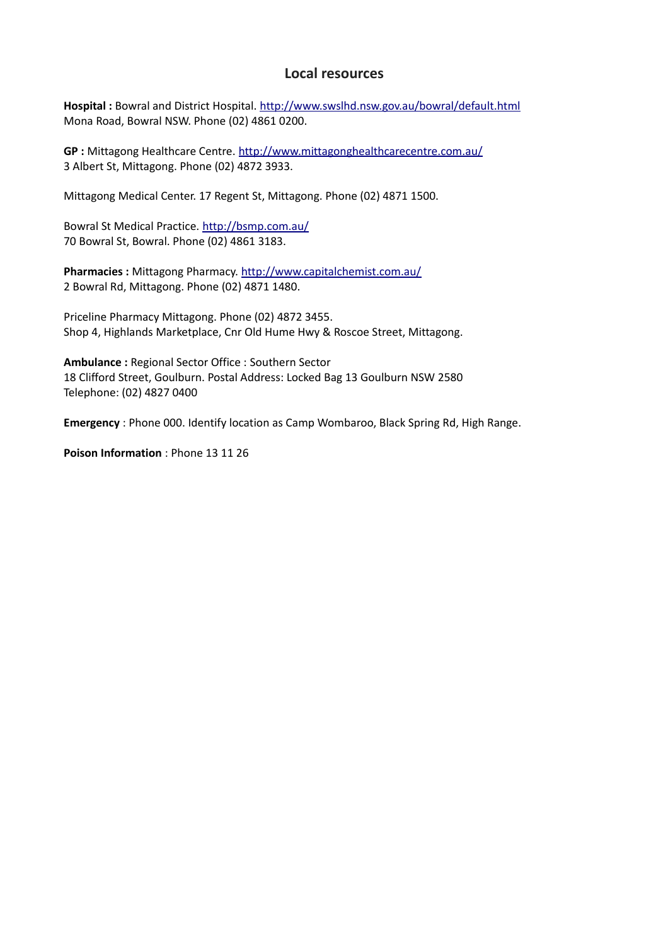## **Local resources**

**Hospital :** Bowral and District Hospital.<http://www.swslhd.nsw.gov.au/bowral/default.html> Mona Road, Bowral NSW. Phone (02) 4861 0200.

**GP :** Mittagong Healthcare Centre.<http://www.mittagonghealthcarecentre.com.au/> 3 Albert St, Mittagong. Phone (02) 4872 3933.

Mittagong Medical Center. 17 Regent St, Mittagong. Phone (02) 4871 1500.

Bowral St Medical Practice.<http://bsmp.com.au/> 70 Bowral St, Bowral. Phone (02) 4861 3183.

**Pharmacies :** Mittagong Pharmacy.<http://www.capitalchemist.com.au/> 2 Bowral Rd, Mittagong. Phone (02) 4871 1480.

Priceline Pharmacy Mittagong. Phone (02) 4872 3455. Shop 4, Highlands Marketplace, Cnr Old Hume Hwy & Roscoe Street, Mittagong.

**Ambulance :** Regional Sector Office : Southern Sector 18 Clifford Street, Goulburn. Postal Address: Locked Bag 13 Goulburn NSW 2580 Telephone: (02) 4827 0400

**Emergency** : Phone 000. Identify location as Camp Wombaroo, Black Spring Rd, High Range.

**Poison Information** : Phone 13 11 26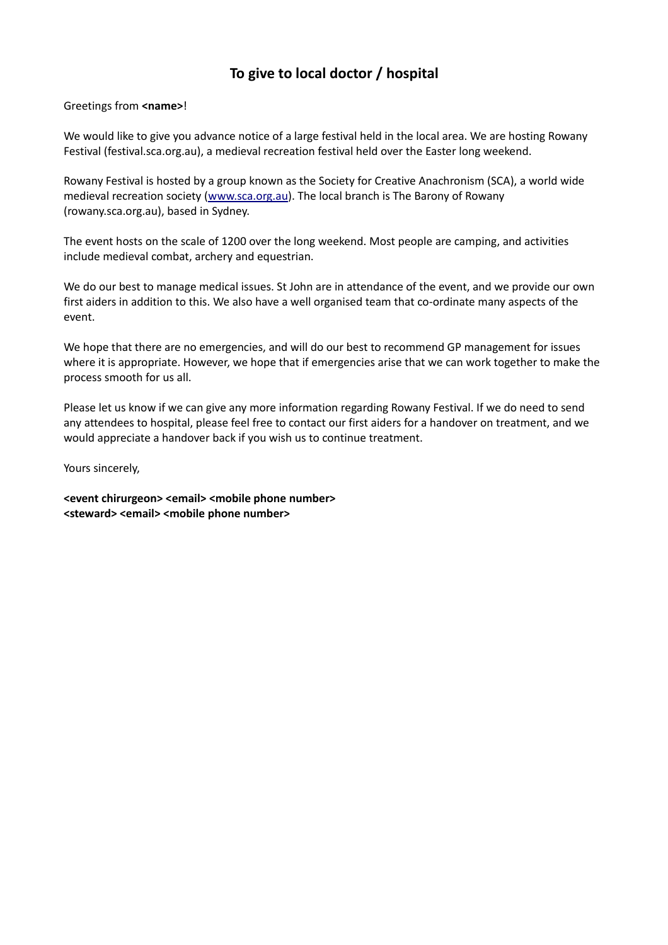## **To give to local doctor / hospital**

#### Greetings from **<name>**!

We would like to give you advance notice of a large festival held in the local area. We are hosting Rowany Festival (festival.sca.org.au), a medieval recreation festival held over the Easter long weekend.

Rowany Festival is hosted by a group known as the Society for Creative Anachronism (SCA), a world wide medieval recreation society [\(www.sca.org.au\)](http://www.sca.org.au/). The local branch is The Barony of Rowany (rowany.sca.org.au), based in Sydney.

The event hosts on the scale of 1200 over the long weekend. Most people are camping, and activities include medieval combat, archery and equestrian.

We do our best to manage medical issues. St John are in attendance of the event, and we provide our own first aiders in addition to this. We also have a well organised team that co-ordinate many aspects of the event.

We hope that there are no emergencies, and will do our best to recommend GP management for issues where it is appropriate. However, we hope that if emergencies arise that we can work together to make the process smooth for us all.

Please let us know if we can give any more information regarding Rowany Festival. If we do need to send any attendees to hospital, please feel free to contact our first aiders for a handover on treatment, and we would appreciate a handover back if you wish us to continue treatment.

Yours sincerely,

**<event chirurgeon> <email> <mobile phone number>** <steward> <email> <mobile phone number>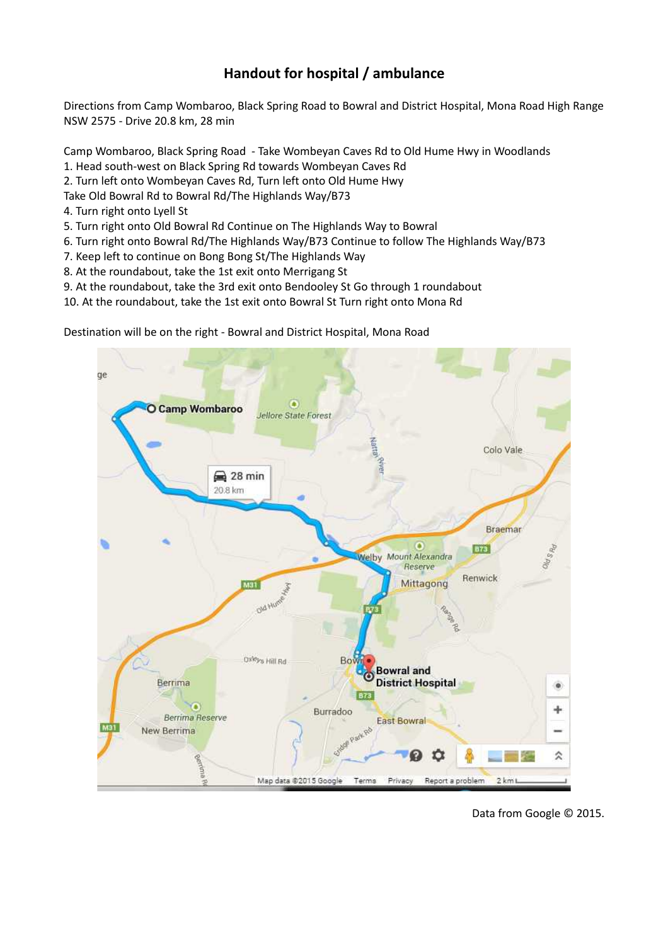## **Handout for hospital / ambulance**

Directions from Camp Wombaroo, Black Spring Road to Bowral and District Hospital, Mona Road High Range NSW 2575 - Drive 20.8 km, 28 min

Camp Wombaroo, Black Spring Road - Take Wombeyan Caves Rd to Old Hume Hwy in Woodlands

- 1. Head south-west on Black Spring Rd towards Wombeyan Caves Rd
- 2. Turn left onto Wombeyan Caves Rd, Turn left onto Old Hume Hwy
- Take Old Bowral Rd to Bowral Rd/The Highlands Way/B73
- 4. Turn right onto Lyell St
- 5. Turn right onto Old Bowral Rd Continue on The Highlands Way to Bowral
- 6. Turn right onto Bowral Rd/The Highlands Way/B73 Continue to follow The Highlands Way/B73
- 7. Keep left to continue on Bong Bong St/The Highlands Way
- 8. At the roundabout, take the 1st exit onto Merrigang St
- 9. At the roundabout, take the 3rd exit onto Bendooley St Go through 1 roundabout

10. At the roundabout, take the 1st exit onto Bowral St Turn right onto Mona Rd

Destination will be on the right - Bowral and District Hospital, Mona Road



Data from Google © 2015.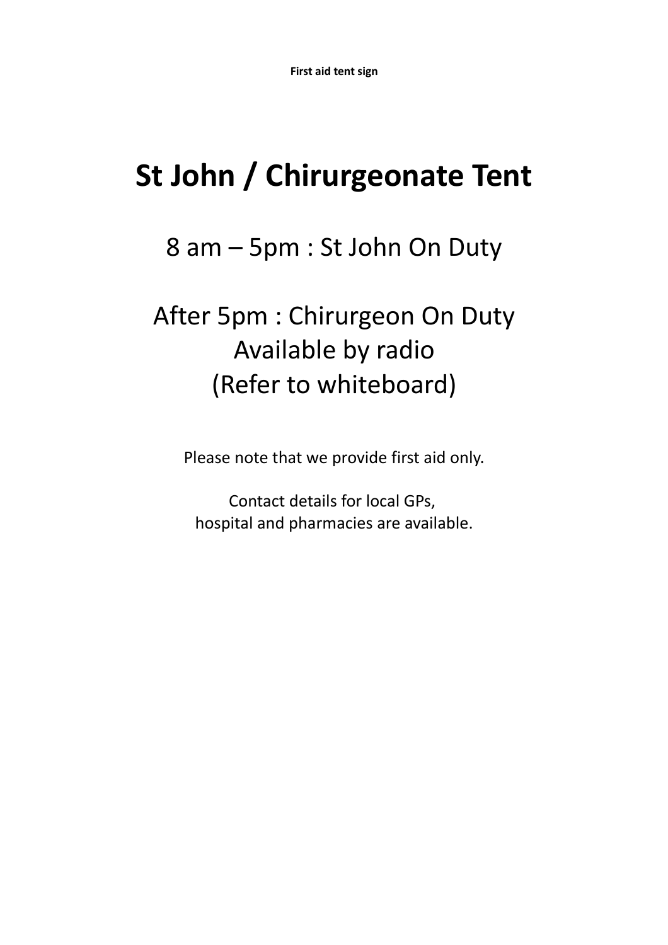# **St John / Chirurgeonate Tent**

8 am – 5pm : St John On Duty

# After 5pm : Chirurgeon On Duty Available by radio (Refer to whiteboard)

Please note that we provide first aid only.

Contact details for local GPs, hospital and pharmacies are available.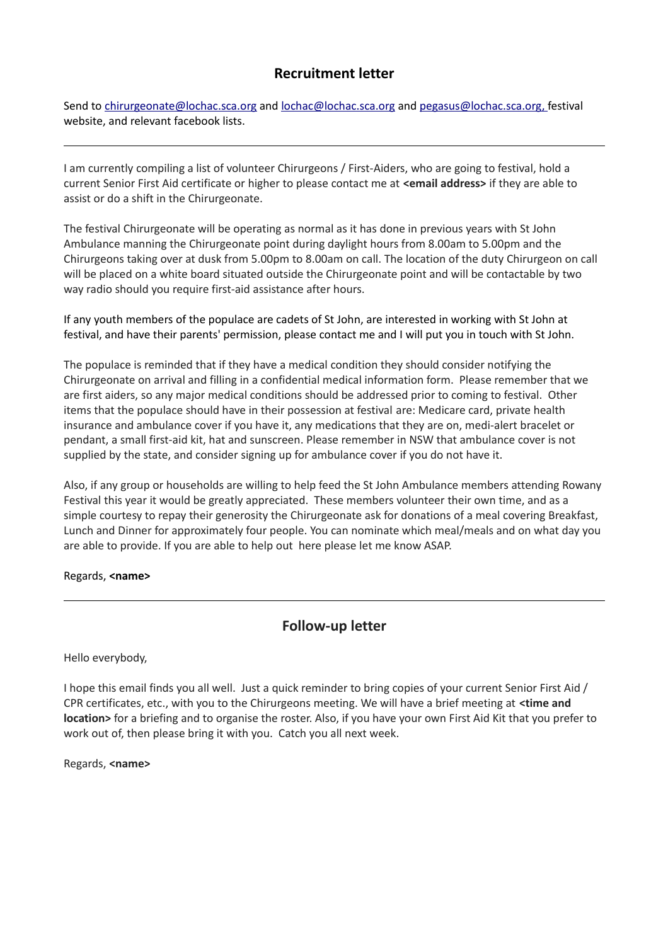## **Recruitment letter**

Send to [chirurgeonate@lochac.sca.org](mailto:chirurgeonate@lochac.sca.org) and [lochac@lochac.sca.org](mailto:lochac@lochac.sca.org) and pegasus@lochac.sca.org, festival website, and relevant facebook lists.

I am currently compiling a list of volunteer Chirurgeons / First-Aiders, who are going to festival, hold a current Senior First Aid certificate or higher to please contact me at **<email address>** if they are able to assist or do a shift in the Chirurgeonate.

The festival Chirurgeonate will be operating as normal as it has done in previous years with St John Ambulance manning the Chirurgeonate point during daylight hours from 8.00am to 5.00pm and the Chirurgeons taking over at dusk from 5.00pm to 8.00am on call. The location of the duty Chirurgeon on call will be placed on a white board situated outside the Chirurgeonate point and will be contactable by two way radio should you require first-aid assistance after hours.

If any youth members of the populace are cadets of St John, are interested in working with St John at festival, and have their parents' permission, please contact me and I will put you in touch with St John.

The populace is reminded that if they have a medical condition they should consider notifying the Chirurgeonate on arrival and filling in a confidential medical information form. Please remember that we are first aiders, so any major medical conditions should be addressed prior to coming to festival. Other items that the populace should have in their possession at festival are: Medicare card, private health insurance and ambulance cover if you have it, any medications that they are on, medi-alert bracelet or pendant, a small first-aid kit, hat and sunscreen. Please remember in NSW that ambulance cover is not supplied by the state, and consider signing up for ambulance cover if you do not have it.

Also, if any group or households are willing to help feed the St John Ambulance members attending Rowany Festival this year it would be greatly appreciated. These members volunteer their own time, and as a simple courtesy to repay their generosity the Chirurgeonate ask for donations of a meal covering Breakfast, Lunch and Dinner for approximately four people. You can nominate which meal/meals and on what day you are able to provide. If you are able to help out here please let me know ASAP.

#### Regards, **<name>**

## **Follow-up letter**

Hello everybody,

I hope this email finds you all well. Just a quick reminder to bring copies of your current Senior First Aid / CPR certificates, etc., with you to the Chirurgeons meeting. We will have a brief meeting at **<time and location>** for a briefing and to organise the roster. Also, if you have your own First Aid Kit that you prefer to work out of, then please bring it with you. Catch you all next week.

Regards, **<name>**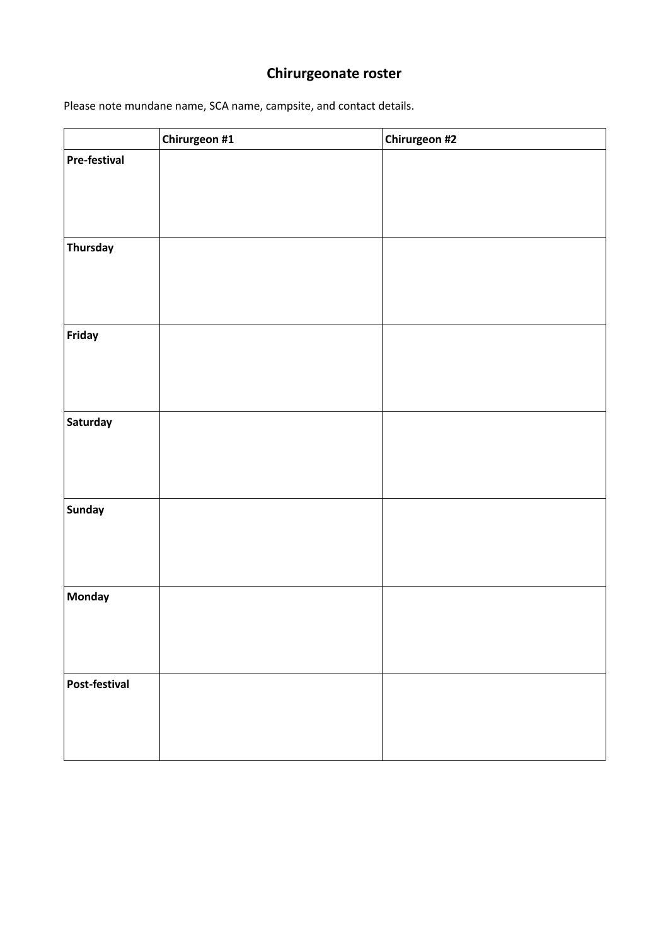# **Chirurgeonate roster**

Please note mundane name, SCA name, campsite, and contact details.

|                     | Chirurgeon #1 | Chirurgeon #2 |
|---------------------|---------------|---------------|
| <b>Pre-festival</b> |               |               |
|                     |               |               |
|                     |               |               |
|                     |               |               |
| <b>Thursday</b>     |               |               |
|                     |               |               |
|                     |               |               |
|                     |               |               |
| Friday              |               |               |
|                     |               |               |
|                     |               |               |
|                     |               |               |
| Saturday            |               |               |
|                     |               |               |
|                     |               |               |
|                     |               |               |
| <b>Sunday</b>       |               |               |
|                     |               |               |
|                     |               |               |
| <b>Monday</b>       |               |               |
|                     |               |               |
|                     |               |               |
|                     |               |               |
| Post-festival       |               |               |
|                     |               |               |
|                     |               |               |
|                     |               |               |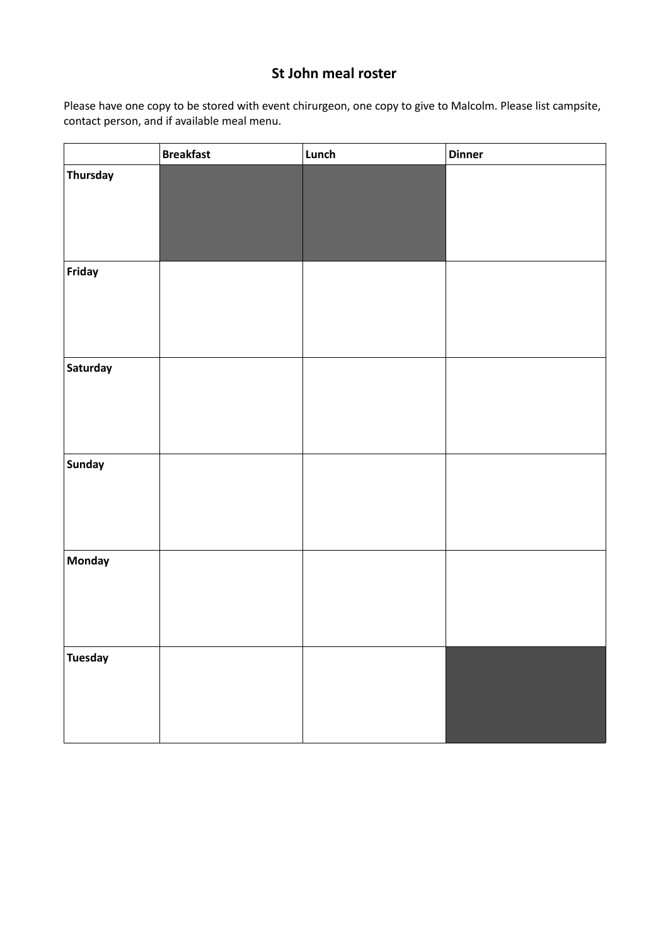## **St John meal roster**

Please have one copy to be stored with event chirurgeon, one copy to give to Malcolm. Please list campsite, contact person, and if available meal menu.

|                 | <b>Breakfast</b> | Lunch | <b>Dinner</b> |
|-----------------|------------------|-------|---------------|
| <b>Thursday</b> |                  |       |               |
| Friday          |                  |       |               |
| Saturday        |                  |       |               |
| <b>Sunday</b>   |                  |       |               |
| <b>Monday</b>   |                  |       |               |
| <b>Tuesday</b>  |                  |       |               |